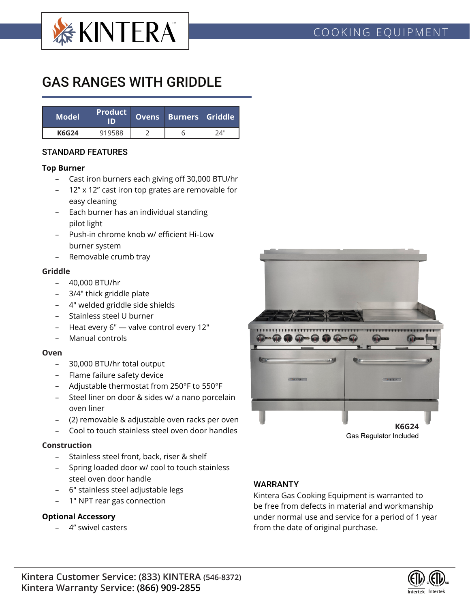

# GAS RANGES WITH GRIDDLE

| <b>Model</b> | <b>Product</b><br>'ID) | Ovens Burners Griddle |     |  |
|--------------|------------------------|-----------------------|-----|--|
| <b>K6G24</b> | 919588                 |                       | 74" |  |

## STANDARD FEATURES

#### **Top Burner**

- Cast iron burners each giving off 30,000 BTU/hr
- 12" x 12" cast iron top grates are removable for easy cleaning
- Each burner has an individual standing pilot light
- Push-in chrome knob w/ efficient Hi-Low burner system
- Removable crumb tray

#### **Griddle**

- 40,000 BTU/hr
- 3/4" thick griddle plate
- 4" welded griddle side shields
- Stainless steel U burner
- Heat every 6" valve control every 12"
- Manual controls

#### **Oven**

- 30,000 BTU/hr total output
- Flame failure safety device
- Adjustable thermostat from 250°F to 550°F
- Steel liner on door & sides w/ a nano porcelain oven liner
- (2) removable & adjustable oven racks per oven
- Cool to touch stainless steel oven door handles

## **Construction**

- Stainless steel front, back, riser & shelf
- Spring loaded door w/ cool to touch stainless steel oven door handle
- 6" stainless steel adjustable legs
- 1" NPT rear gas connection

## **Optional Accessory**

– 4" swivel casters



## WARRANTY

Kintera Gas Cooking Equipment is warranted to be free from defects in material and workmanship under normal use and service for a period of 1 year from the date of original purchase.